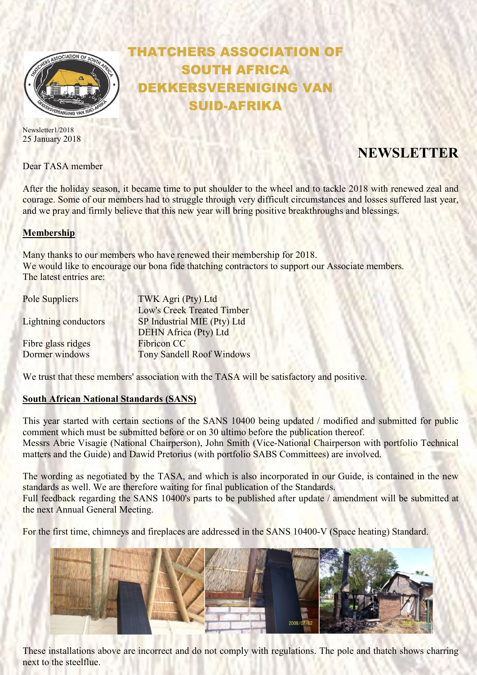

Newsletter1/2018 25 January 2018

Dear TASA member

## THATCHERS ASSOCIATION OF SOUTH AFRICA EKKERSVERENIGING VAN SUID-AFRIKA

# **NEWSLETTER**

After the holiday season, it became time to put shoulder to the wheel and to tackle 2018 with renewed zeal and courage. Some of our members had to struggle through very difficult circumstances and losses suffered last year, and we pray and firmly believe that this new year will bring positive breakthroughs and blessings.

### Membership

Many thanks to our members who have renewed their membership for 2018. We would like to encourage our bona fide thatching contractors to support our Associate members. The latest entries are:

| Pole Suppliers<br><b>Lightning conductors</b> | TWK Agri (Pty) Ltd               |
|-----------------------------------------------|----------------------------------|
|                                               | Low's Creek Treated Timber       |
|                                               | SP Industrial MIE (Pty) Ltd      |
|                                               | <b>DEHN Africa (Pty) Ltd</b>     |
| Fibre glass ridges                            | <b>Fibricon CC</b>               |
| Dormer windows                                | <b>Tony Sandell Roof Windows</b> |

We trust that these members' association with the TASA will be satisfactory and positive.

### South African National Standards (SANS)

This year started with certain sections of the SANS 10400 being updated / modified and submitted for public comment which must be submitted before or on 30 ultimo before the publication thereof. Messrs Abrie Visagie (National Chairperson), John Smith (Vice-National Chairperson with portfolio Technical matters and the Guide) and Dawid Pretorius (with portfolio SABS Committees) are involved.

The wording as negotiated by the TASA, and which is also incorporated in our Guide, is contained in the new standards as well. We are therefore waiting for final publication of the Standards. Full feedback regarding the SANS 10400's parts to be published after update / amendment will be submitted at the next Annual General Meeting.

For the first time, chimneys and fireplaces are addressed in the SANS 10400-V (Space heating) Standard.



These installations above are incorrect and do not comply with regulations. The pole and thatch shows charring next to the steelflue.